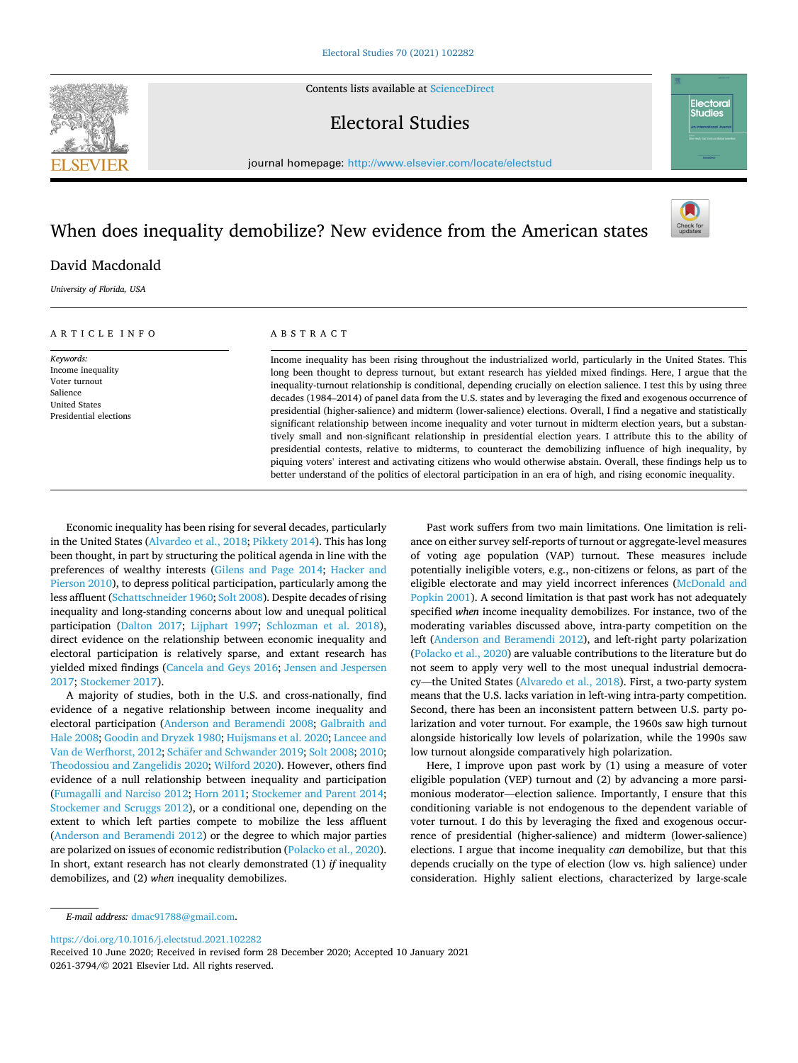Contents lists available at [ScienceDirect](www.sciencedirect.com/science/journal/02613794)

# Electoral Studies

journal homepage: [http://www.elsevier.com/locate/electstud](https://http://www.elsevier.com/locate/electstud)

# When does inequality demobilize? New evidence from the American states



Electoral

# David Macdonald

*University of Florida, USA* 

## ARTICLE INFO

*Keywords:*  Income inequality Voter turnout Salience United States Presidential elections

## ABSTRACT

Income inequality has been rising throughout the industrialized world, particularly in the United States. This long been thought to depress turnout, but extant research has yielded mixed findings. Here, I argue that the inequality-turnout relationship is conditional, depending crucially on election salience. I test this by using three decades (1984–2014) of panel data from the U.S. states and by leveraging the fixed and exogenous occurrence of presidential (higher-salience) and midterm (lower-salience) elections. Overall, I find a negative and statistically significant relationship between income inequality and voter turnout in midterm election years, but a substantively small and non-significant relationship in presidential election years. I attribute this to the ability of presidential contests, relative to midterms, to counteract the demobilizing influence of high inequality, by piquing voters' interest and activating citizens who would otherwise abstain. Overall, these findings help us to better understand of the politics of electoral participation in an era of high, and rising economic inequality.

Economic inequality has been rising for several decades, particularly in the United States [\(Alvardeo et al., 2018;](#page-6-0) [Pikkety 2014](#page-7-0)). This has long been thought, in part by structuring the political agenda in line with the preferences of wealthy interests [\(Gilens and Page 2014](#page-7-0); [Hacker and](#page-7-0)  [Pierson 2010\)](#page-7-0), to depress political participation, particularly among the less affluent ([Schattschneider 1960](#page-7-0); [Solt 2008](#page-7-0)). Despite decades of rising inequality and long-standing concerns about low and unequal political participation [\(Dalton 2017](#page-7-0); [Lijphart 1997;](#page-7-0) [Schlozman et al. 2018](#page-7-0)), direct evidence on the relationship between economic inequality and electoral participation is relatively sparse, and extant research has yielded mixed findings [\(Cancela and Geys 2016;](#page-6-0) [Jensen and Jespersen](#page-7-0)  [2017; Stockemer 2017](#page-7-0)).

A majority of studies, both in the U.S. and cross-nationally, find evidence of a negative relationship between income inequality and electoral participation ([Anderson and Beramendi 2008](#page-6-0); [Galbraith and](#page-7-0)  [Hale 2008; Goodin and Dryzek 1980](#page-7-0); [Huijsmans et al. 2020](#page-7-0); [Lancee and](#page-7-0)  [Van de Werfhorst, 2012;](#page-7-0) Schäfer [and Schwander 2019; Solt 2008](#page-7-0); [2010](#page-7-0); [Theodossiou and Zangelidis 2020; Wilford 2020\)](#page-7-0). However, others find evidence of a null relationship between inequality and participation ([Fumagalli and Narciso 2012; Horn 2011; Stockemer and Parent 2014](#page-7-0); [Stockemer and Scruggs 2012\)](#page-7-0), or a conditional one, depending on the extent to which left parties compete to mobilize the less affluent ([Anderson and Beramendi 2012](#page-6-0)) or the degree to which major parties are polarized on issues of economic redistribution [\(Polacko et al., 2020](#page-7-0)). In short, extant research has not clearly demonstrated (1) *if* inequality demobilizes, and (2) *when* inequality demobilizes.

Past work suffers from two main limitations. One limitation is reliance on either survey self-reports of turnout or aggregate-level measures of voting age population (VAP) turnout. These measures include potentially ineligible voters, e.g., non-citizens or felons, as part of the eligible electorate and may yield incorrect inferences [\(McDonald and](#page-7-0)  [Popkin 2001](#page-7-0)). A second limitation is that past work has not adequately specified *when* income inequality demobilizes. For instance, two of the moderating variables discussed above, intra-party competition on the left [\(Anderson and Beramendi 2012](#page-6-0)), and left-right party polarization ([Polacko et al., 2020\)](#page-7-0) are valuable contributions to the literature but do not seem to apply very well to the most unequal industrial democracy—the United States [\(Alvaredo et al., 2018\)](#page-6-0). First, a two-party system means that the U.S. lacks variation in left-wing intra-party competition. Second, there has been an inconsistent pattern between U.S. party polarization and voter turnout. For example, the 1960s saw high turnout alongside historically low levels of polarization, while the 1990s saw low turnout alongside comparatively high polarization.

Here, I improve upon past work by (1) using a measure of voter eligible population (VEP) turnout and (2) by advancing a more parsimonious moderator—election salience. Importantly, I ensure that this conditioning variable is not endogenous to the dependent variable of voter turnout. I do this by leveraging the fixed and exogenous occurrence of presidential (higher-salience) and midterm (lower-salience) elections. I argue that income inequality *can* demobilize, but that this depends crucially on the type of election (low vs. high salience) under consideration. Highly salient elections, characterized by large-scale

<https://doi.org/10.1016/j.electstud.2021.102282>



*E-mail address:* [dmac91788@gmail.com](mailto:dmac91788@gmail.com).

<sup>0261-3794/© 2021</sup> Elsevier Ltd. All rights reserved. Received 10 June 2020; Received in revised form 28 December 2020; Accepted 10 January 2021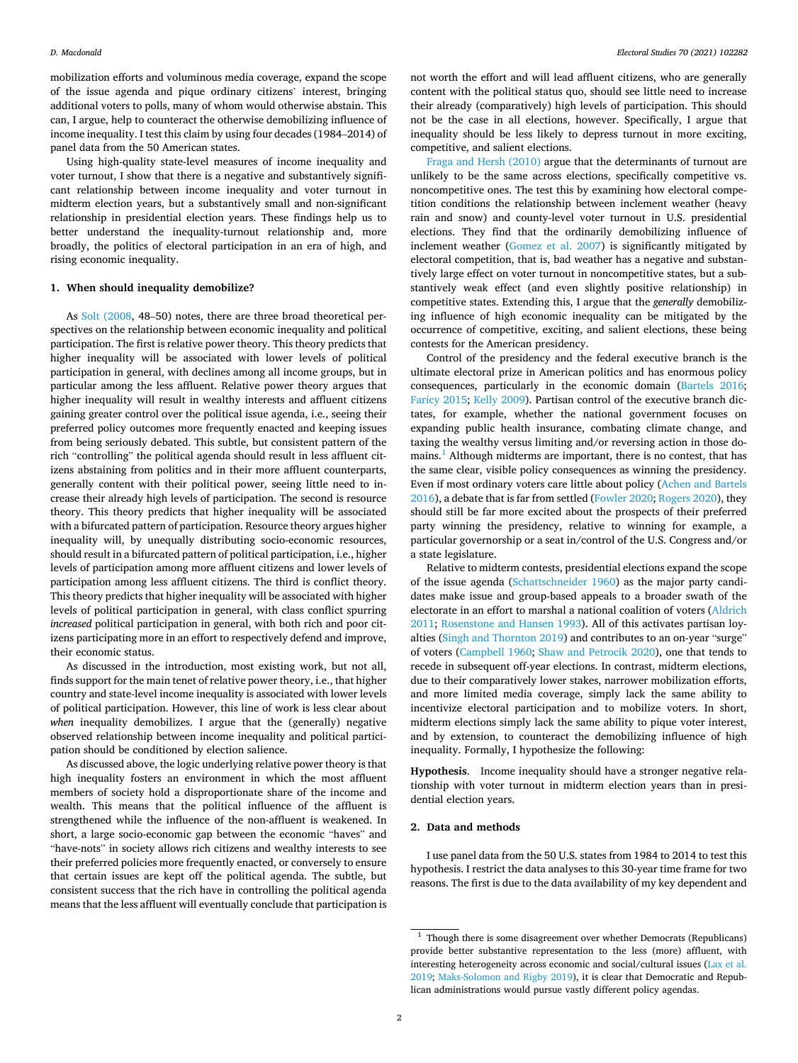mobilization efforts and voluminous media coverage, expand the scope of the issue agenda and pique ordinary citizens' interest, bringing additional voters to polls, many of whom would otherwise abstain. This can, I argue, help to counteract the otherwise demobilizing influence of income inequality. I test this claim by using four decades (1984–2014) of panel data from the 50 American states.

Using high-quality state-level measures of income inequality and voter turnout, I show that there is a negative and substantively significant relationship between income inequality and voter turnout in midterm election years, but a substantively small and non-significant relationship in presidential election years. These findings help us to better understand the inequality-turnout relationship and, more broadly, the politics of electoral participation in an era of high, and rising economic inequality.

## **1. When should inequality demobilize?**

As [Solt \(2008](#page-7-0), 48–50) notes, there are three broad theoretical perspectives on the relationship between economic inequality and political participation. The first is relative power theory. This theory predicts that higher inequality will be associated with lower levels of political participation in general, with declines among all income groups, but in particular among the less affluent. Relative power theory argues that higher inequality will result in wealthy interests and affluent citizens gaining greater control over the political issue agenda, i.e., seeing their preferred policy outcomes more frequently enacted and keeping issues from being seriously debated. This subtle, but consistent pattern of the rich "controlling" the political agenda should result in less affluent citizens abstaining from politics and in their more affluent counterparts, generally content with their political power, seeing little need to increase their already high levels of participation. The second is resource theory. This theory predicts that higher inequality will be associated with a bifurcated pattern of participation. Resource theory argues higher inequality will, by unequally distributing socio-economic resources, should result in a bifurcated pattern of political participation, i.e., higher levels of participation among more affluent citizens and lower levels of participation among less affluent citizens. The third is conflict theory. This theory predicts that higher inequality will be associated with higher levels of political participation in general, with class conflict spurring *increased* political participation in general, with both rich and poor citizens participating more in an effort to respectively defend and improve, their economic status.

As discussed in the introduction, most existing work, but not all, finds support for the main tenet of relative power theory, i.e., that higher country and state-level income inequality is associated with lower levels of political participation. However, this line of work is less clear about when inequality demobilizes. I argue that the (generally) negative observed relationship between income inequality and political participation should be conditioned by election salience.

As discussed above, the logic underlying relative power theory is that high inequality fosters an environment in which the most affluent members of society hold a disproportionate share of the income and wealth. This means that the political influence of the affluent is strengthened while the influence of the non-affluent is weakened. In short, a large socio-economic gap between the economic "haves" and "have-nots" in society allows rich citizens and wealthy interests to see their preferred policies more frequently enacted, or conversely to ensure that certain issues are kept off the political agenda. The subtle, but consistent success that the rich have in controlling the political agenda means that the less affluent will eventually conclude that participation is not worth the effort and will lead affluent citizens, who are generally content with the political status quo, should see little need to increase their already (comparatively) high levels of participation. This should not be the case in all elections, however. Specifically, I argue that inequality should be less likely to depress turnout in more exciting, competitive, and salient elections.

[Fraga and Hersh \(2010\)](#page-7-0) argue that the determinants of turnout are unlikely to be the same across elections, specifically competitive vs. noncompetitive ones. The test this by examining how electoral competition conditions the relationship between inclement weather (heavy rain and snow) and county-level voter turnout in U.S. presidential elections. They find that the ordinarily demobilizing influence of inclement weather [\(Gomez et al. 2007\)](#page-7-0) is significantly mitigated by electoral competition, that is, bad weather has a negative and substantively large effect on voter turnout in noncompetitive states, but a substantively weak effect (and even slightly positive relationship) in competitive states. Extending this, I argue that the *generally* demobilizing influence of high economic inequality can be mitigated by the occurrence of competitive, exciting, and salient elections, these being contests for the American presidency.

Control of the presidency and the federal executive branch is the ultimate electoral prize in American politics and has enormous policy consequences, particularly in the economic domain [\(Bartels 2016](#page-6-0); [Faricy 2015;](#page-7-0) [Kelly 2009](#page-7-0)). Partisan control of the executive branch dictates, for example, whether the national government focuses on expanding public health insurance, combating climate change, and taxing the wealthy versus limiting and/or reversing action in those domains.<sup>1</sup> Although midterms are important, there is no contest, that has the same clear, visible policy consequences as winning the presidency. Even if most ordinary voters care little about policy ([Achen and Bartels](#page-6-0)  [2016\)](#page-6-0), a debate that is far from settled ([Fowler 2020; Rogers 2020](#page-7-0)), they should still be far more excited about the prospects of their preferred party winning the presidency, relative to winning for example, a particular governorship or a seat in/control of the U.S. Congress and/or a state legislature.

Relative to midterm contests, presidential elections expand the scope of the issue agenda ([Schattschneider 1960\)](#page-7-0) as the major party candidates make issue and group-based appeals to a broader swath of the electorate in an effort to marshal a national coalition of voters ([Aldrich](#page-6-0)  [2011;](#page-6-0) [Rosenstone and Hansen 1993](#page-7-0)). All of this activates partisan loyalties [\(Singh and Thornton 2019\)](#page-7-0) and contributes to an on-year "surge" of voters [\(Campbell 1960](#page-6-0); [Shaw and Petrocik 2020](#page-7-0)), one that tends to recede in subsequent off-year elections. In contrast, midterm elections, due to their comparatively lower stakes, narrower mobilization efforts, and more limited media coverage, simply lack the same ability to incentivize electoral participation and to mobilize voters. In short, midterm elections simply lack the same ability to pique voter interest, and by extension, to counteract the demobilizing influence of high inequality. Formally, I hypothesize the following:

**Hypothesis**. Income inequality should have a stronger negative relationship with voter turnout in midterm election years than in presidential election years.

### **2. Data and methods**

I use panel data from the 50 U.S. states from 1984 to 2014 to test this hypothesis. I restrict the data analyses to this 30-year time frame for two reasons. The first is due to the data availability of my key dependent and

 $^{\rm 1}$  Though there is some disagreement over whether Democrats (Republicans) provide better substantive representation to the less (more) affluent, with interesting heterogeneity across economic and social/cultural issues [\(Lax et al.](#page-7-0)  [2019;](#page-7-0) [Maks-Solomon and Rigby 2019\)](#page-7-0), it is clear that Democratic and Republican administrations would pursue vastly different policy agendas.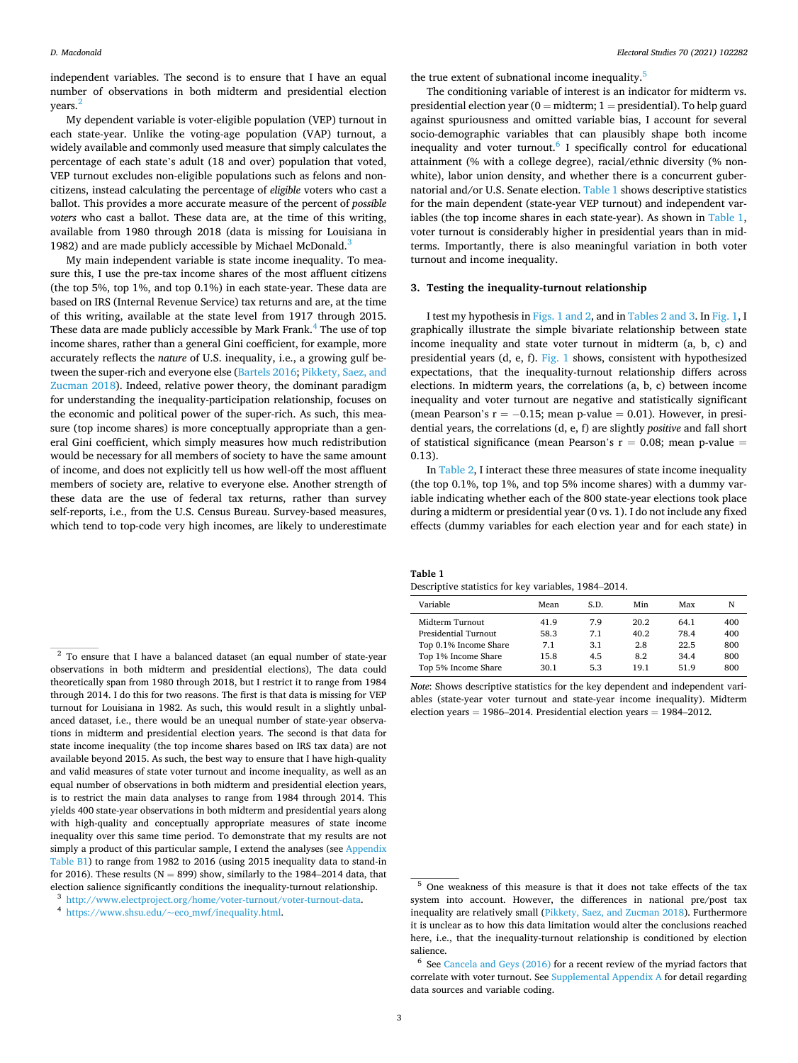*Electoral Studies 70 (2021) 102282*

<span id="page-2-0"></span>independent variables. The second is to ensure that I have an equal number of observations in both midterm and presidential election years.

My dependent variable is voter-eligible population (VEP) turnout in each state-year. Unlike the voting-age population (VAP) turnout, a widely available and commonly used measure that simply calculates the percentage of each state's adult (18 and over) population that voted, VEP turnout excludes non-eligible populations such as felons and noncitizens, instead calculating the percentage of *eligible* voters who cast a ballot. This provides a more accurate measure of the percent of *possible voters* who cast a ballot. These data are, at the time of this writing, available from 1980 through 2018 (data is missing for Louisiana in 1982) and are made publicly accessible by Michael McDonald.<sup>3</sup>

My main independent variable is state income inequality. To measure this, I use the pre-tax income shares of the most affluent citizens (the top 5%, top 1%, and top 0.1%) in each state-year. These data are based on IRS (Internal Revenue Service) tax returns and are, at the time of this writing, available at the state level from 1917 through 2015. These data are made publicly accessible by Mark Frank.<sup>4</sup> The use of top income shares, rather than a general Gini coefficient, for example, more accurately reflects the *nature* of U.S. inequality, i.e., a growing gulf between the super-rich and everyone else ([Bartels 2016](#page-6-0); [Pikkety, Saez, and](#page-7-0)  [Zucman 2018](#page-7-0)). Indeed, relative power theory, the dominant paradigm for understanding the inequality-participation relationship, focuses on the economic and political power of the super-rich. As such, this measure (top income shares) is more conceptually appropriate than a general Gini coefficient, which simply measures how much redistribution would be necessary for all members of society to have the same amount of income, and does not explicitly tell us how well-off the most affluent members of society are, relative to everyone else. Another strength of these data are the use of federal tax returns, rather than survey self-reports, i.e., from the U.S. Census Bureau. Survey-based measures, which tend to top-code very high incomes, are likely to underestimate

the true extent of subnational income inequality.<sup>5</sup>

The conditioning variable of interest is an indicator for midterm vs. presidential election year ( $0 =$  midterm;  $1 =$  presidential). To help guard against spuriousness and omitted variable bias, I account for several socio-demographic variables that can plausibly shape both income inequality and voter turnout. $6$  I specifically control for educational attainment (% with a college degree), racial/ethnic diversity (% nonwhite), labor union density, and whether there is a concurrent gubernatorial and/or U.S. Senate election. Table 1 shows descriptive statistics for the main dependent (state-year VEP turnout) and independent variables (the top income shares in each state-year). As shown in Table 1, voter turnout is considerably higher in presidential years than in midterms. Importantly, there is also meaningful variation in both voter turnout and income inequality.

#### **3. Testing the inequality-turnout relationship**

I test my hypothesis in [Figs. 1 and 2](#page-3-0), and in [Tables 2 and 3.](#page-4-0) In [Fig. 1](#page-3-0), I graphically illustrate the simple bivariate relationship between state income inequality and state voter turnout in midterm (a, b, c) and presidential years (d, e, f). [Fig. 1](#page-3-0) shows, consistent with hypothesized expectations, that the inequality-turnout relationship differs across elections. In midterm years, the correlations (a, b, c) between income inequality and voter turnout are negative and statistically significant (mean Pearson's  $r = -0.15$ ; mean p-value = 0.01). However, in presidential years, the correlations (d, e, f) are slightly *positive* and fall short of statistical significance (mean Pearson's  $r = 0.08$ ; mean p-value = 0.13).

In [Table 2,](#page-4-0) I interact these three measures of state income inequality (the top 0.1%, top 1%, and top 5% income shares) with a dummy variable indicating whether each of the 800 state-year elections took place during a midterm or presidential year (0 vs. 1). I do not include any fixed effects (dummy variables for each election year and for each state) in

**Table 1**  Descriptive statistics for key variables, 1984–2014.

| Variable                    | Mean | S.D. | Min  | Max  | N   |
|-----------------------------|------|------|------|------|-----|
| Midterm Turnout             | 41.9 | 7.9  | 20.2 | 64.1 | 400 |
| <b>Presidential Turnout</b> | 58.3 | 7.1  | 40.2 | 78.4 | 400 |
| Top 0.1% Income Share       | 7.1  | 3.1  | 2.8  | 22.5 | 800 |
| Top 1% Income Share         | 15.8 | 4.5  | 8.2  | 34.4 | 800 |
| Top 5% Income Share         | 30.1 | 5.3  | 19.1 | 51.9 | 800 |
|                             |      |      |      |      |     |

*Note*: Shows descriptive statistics for the key dependent and independent variables (state-year voter turnout and state-year income inequality). Midterm election years = 1986–2014. Presidential election years =  $1984-2012$ .

<sup>&</sup>lt;sup>2</sup> To ensure that I have a balanced dataset (an equal number of state-year observations in both midterm and presidential elections), The data could theoretically span from 1980 through 2018, but I restrict it to range from 1984 through 2014. I do this for two reasons. The first is that data is missing for VEP turnout for Louisiana in 1982. As such, this would result in a slightly unbalanced dataset, i.e., there would be an unequal number of state-year observations in midterm and presidential election years. The second is that data for state income inequality (the top income shares based on IRS tax data) are not available beyond 2015. As such, the best way to ensure that I have high-quality and valid measures of state voter turnout and income inequality, as well as an equal number of observations in both midterm and presidential election years, is to restrict the main data analyses to range from 1984 through 2014. This yields 400 state-year observations in both midterm and presidential years along with high-quality and conceptually appropriate measures of state income inequality over this same time period. To demonstrate that my results are not simply a product of this particular sample, I extend the analyses (see Appendix Table B1) to range from 1982 to 2016 (using 2015 inequality data to stand-in for 2016). These results ( $N = 899$ ) show, similarly to the 1984–2014 data, that election salience significantly conditions the inequality-turnout relationship.

 $^3$ <http://www.electproject.org/home/voter-turnout/voter-turnout-data>.  $^4$  [https://www.shsu.edu/~eco\\_mwf/inequality.html.](https://www.shsu.edu/%7Eeco_mwf/inequality.html)

<sup>5</sup> One weakness of this measure is that it does not take effects of the tax system into account. However, the differences in national pre/post tax inequality are relatively small ([Pikkety, Saez, and Zucman 2018\)](#page-7-0). Furthermore it is unclear as to how this data limitation would alter the conclusions reached here, i.e., that the inequality-turnout relationship is conditioned by election salience.

 $6$  See [Cancela and Geys \(2016\)](#page-6-0) for a recent review of the myriad factors that correlate with voter turnout. See Supplemental Appendix A for detail regarding data sources and variable coding.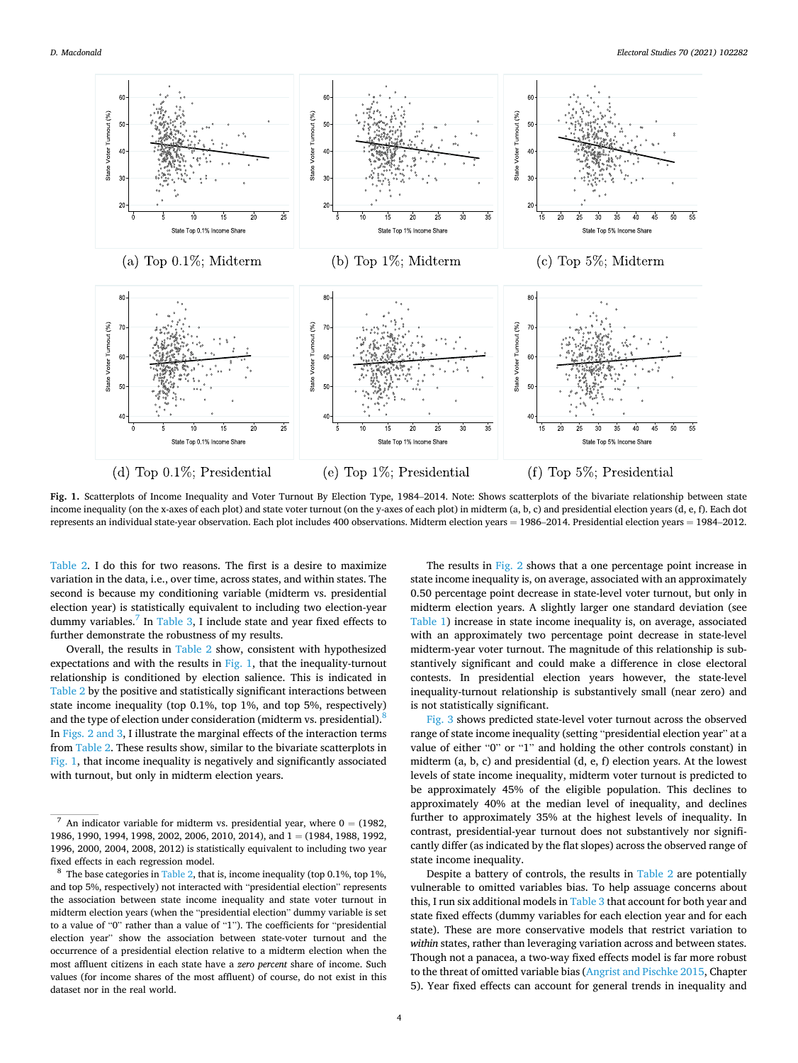<span id="page-3-0"></span>

**Fig. 1.** Scatterplots of Income Inequality and Voter Turnout By Election Type, 1984–2014. Note: Shows scatterplots of the bivariate relationship between state income inequality (on the x-axes of each plot) and state voter turnout (on the y-axes of each plot) in midterm (a, b, c) and presidential election years (d, e, f). Each dot represents an individual state-year observation. Each plot includes 400 observations. Midterm election years = 1986–2014. Presidential election years = 1984–2012.

[Table 2](#page-4-0). I do this for two reasons. The first is a desire to maximize variation in the data, i.e., over time, across states, and within states. The second is because my conditioning variable (midterm vs. presidential election year) is statistically equivalent to including two election-year dummy variables.<sup>7</sup> In [Table 3,](#page-5-0) I include state and year fixed effects to further demonstrate the robustness of my results.

Overall, the results in [Table 2](#page-4-0) show, consistent with hypothesized expectations and with the results in Fig. 1, that the inequality-turnout relationship is conditioned by election salience. This is indicated in [Table 2](#page-4-0) by the positive and statistically significant interactions between state income inequality (top 0.1%, top 1%, and top 5%, respectively) and the type of election under consideration (midterm vs. presidential).<sup>8</sup> In [Figs. 2 and 3,](#page-4-0) I illustrate the marginal effects of the interaction terms from [Table 2.](#page-4-0) These results show, similar to the bivariate scatterplots in Fig. 1, that income inequality is negatively and significantly associated with turnout, but only in midterm election years.

The results in [Fig. 2](#page-4-0) shows that a one percentage point increase in state income inequality is, on average, associated with an approximately 0.50 percentage point decrease in state-level voter turnout, but only in midterm election years. A slightly larger one standard deviation (see [Table 1](#page-2-0)) increase in state income inequality is, on average, associated with an approximately two percentage point decrease in state-level midterm-year voter turnout. The magnitude of this relationship is substantively significant and could make a difference in close electoral contests. In presidential election years however, the state-level inequality-turnout relationship is substantively small (near zero) and is not statistically significant.

[Fig. 3](#page-5-0) shows predicted state-level voter turnout across the observed range of state income inequality (setting "presidential election year" at a value of either "0" or "1" and holding the other controls constant) in midterm (a, b, c) and presidential (d, e, f) election years. At the lowest levels of state income inequality, midterm voter turnout is predicted to be approximately 45% of the eligible population. This declines to approximately 40% at the median level of inequality, and declines further to approximately 35% at the highest levels of inequality. In contrast, presidential-year turnout does not substantively nor significantly differ (as indicated by the flat slopes) across the observed range of state income inequality.

Despite a battery of controls, the results in [Table 2](#page-4-0) are potentially vulnerable to omitted variables bias. To help assuage concerns about this, I run six additional models in [Table 3](#page-5-0) that account for both year and state fixed effects (dummy variables for each election year and for each state). These are more conservative models that restrict variation to *within* states, rather than leveraging variation across and between states. Though not a panacea, a two-way fixed effects model is far more robust to the threat of omitted variable bias ([Angrist and Pischke 2015,](#page-6-0) Chapter 5). Year fixed effects can account for general trends in inequality and

<sup>&</sup>lt;sup>7</sup> An indicator variable for midterm vs. presidential year, where  $0 = (1982,$ 1986, 1990, 1994, 1998, 2002, 2006, 2010, 2014), and 1 = (1984, 1988, 1992, 1996, 2000, 2004, 2008, 2012) is statistically equivalent to including two year fixed effects in each regression model.<br><sup>8</sup> The base categories in [Table 2](#page-4-0), that is, income inequality (top 0.1%, top 1%,

and top 5%, respectively) not interacted with "presidential election" represents the association between state income inequality and state voter turnout in midterm election years (when the "presidential election" dummy variable is set to a value of "0" rather than a value of "1"). The coefficients for "presidential election year" show the association between state-voter turnout and the occurrence of a presidential election relative to a midterm election when the most affluent citizens in each state have a *zero percent* share of income. Such values (for income shares of the most affluent) of course, do not exist in this dataset nor in the real world.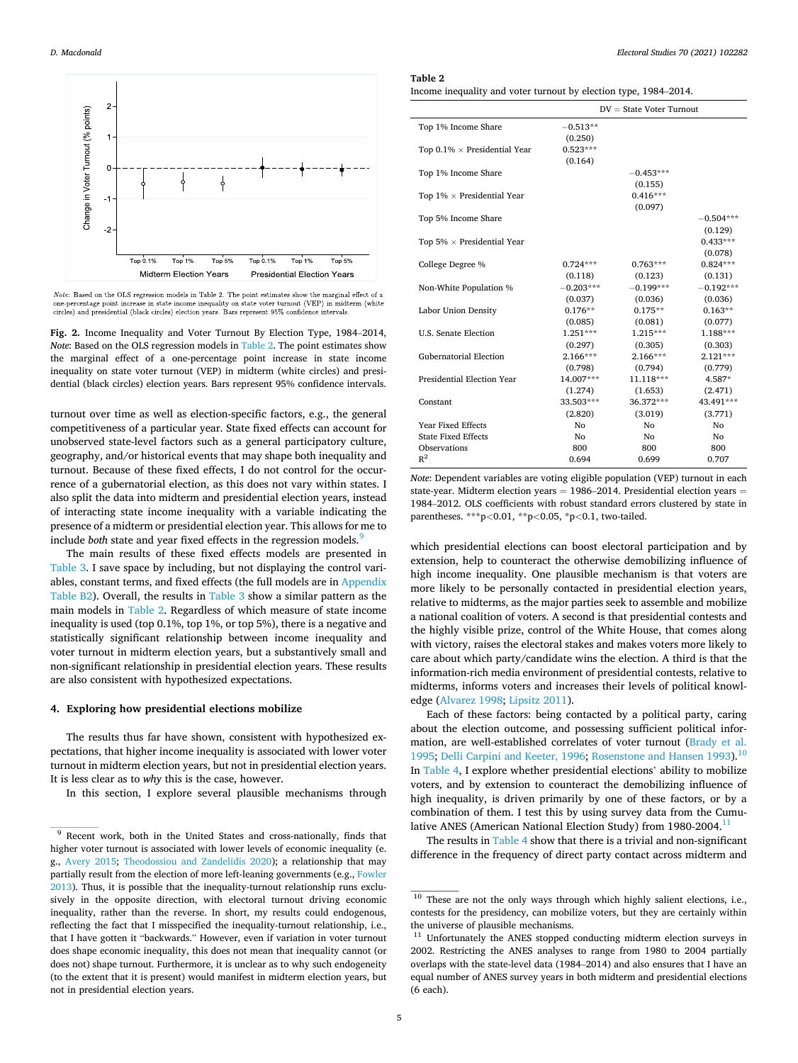#### <span id="page-4-0"></span>*D. Macdonald*



Note: Based on the OLS regression models in Table 2. The point estimates show the marginal effect of a From Dependence on the CDD regional model and the procedure of the percentage point increase in state income inequality on state voter turnout (VEP) in midterm (white cricles) and presidential (black circles) election yea

**Fig. 2.** Income Inequality and Voter Turnout By Election Type, 1984–2014, *Note*: Based on the OLS regression models in Table 2. The point estimates show the marginal effect of a one-percentage point increase in state income inequality on state voter turnout (VEP) in midterm (white circles) and presidential (black circles) election years. Bars represent 95% confidence intervals.

turnout over time as well as election-specific factors, e.g., the general competitiveness of a particular year. State fixed effects can account for unobserved state-level factors such as a general participatory culture, geography, and/or historical events that may shape both inequality and turnout. Because of these fixed effects, I do not control for the occurrence of a gubernatorial election, as this does not vary within states. I also split the data into midterm and presidential election years, instead of interacting state income inequality with a variable indicating the presence of a midterm or presidential election year. This allows for me to include *both* state and year fixed effects in the regression models.<sup>9</sup>

The main results of these fixed effects models are presented in [Table 3](#page-5-0). I save space by including, but not displaying the control variables, constant terms, and fixed effects (the full models are in Appendix Table B2). Overall, the results in [Table 3](#page-5-0) show a similar pattern as the main models in Table 2. Regardless of which measure of state income inequality is used (top 0.1%, top 1%, or top 5%), there is a negative and statistically significant relationship between income inequality and voter turnout in midterm election years, but a substantively small and non-significant relationship in presidential election years. These results are also consistent with hypothesized expectations.

## **4. Exploring how presidential elections mobilize**

The results thus far have shown, consistent with hypothesized expectations, that higher income inequality is associated with lower voter turnout in midterm election years, but not in presidential election years. It is less clear as to *why* this is the case, however.

In this section, I explore several plausible mechanisms through

#### **Table 2**

Income inequality and voter turnout by election type, 1984–2014.

|                                      | $DV = State Voter Turnout$ |                |             |
|--------------------------------------|----------------------------|----------------|-------------|
| Top 1% Income Share                  | $-0.513**$                 |                |             |
|                                      | (0.250)                    |                |             |
| Top $0.1\% \times$ Presidential Year | $0.523***$                 |                |             |
|                                      | (0.164)                    |                |             |
| Top 1% Income Share                  |                            | $-0.453***$    |             |
|                                      |                            | (0.155)        |             |
| Top $1\% \times$ Presidential Year   |                            | $0.416***$     |             |
|                                      |                            | (0.097)        |             |
| Top 5% Income Share                  |                            |                | $-0.504***$ |
|                                      |                            |                | (0.129)     |
| Top 5% $\times$ Presidential Year    |                            |                | $0.433***$  |
|                                      |                            |                | (0.078)     |
| College Degree %                     | $0.724***$                 | $0.763***$     | $0.824***$  |
|                                      | (0.118)                    | (0.123)        | (0.131)     |
| Non-White Population %               | $-0.203***$                | $-0.199***$    | $-0.192***$ |
|                                      | (0.037)                    | (0.036)        | (0.036)     |
| Labor Union Density                  | $0.176**$                  | $0.175**$      | $0.163**$   |
|                                      | (0.085)                    | (0.081)        | (0.077)     |
| <b>U.S. Senate Election</b>          | $1.251***$                 | $1.215***$     | $1.188***$  |
|                                      | (0.297)                    | (0.305)        | (0.303)     |
| <b>Gubernatorial Election</b>        | 2.166***                   | 2.166***       | $2.121***$  |
|                                      | (0.798)                    | (0.794)        | (0.779)     |
| Presidential Election Year           | 14.007***                  | $11.118***$    | 4.587*      |
|                                      | (1.274)                    | (1.653)        | (2.471)     |
| Constant                             | 33.503***                  | 36.372***      | 43.491***   |
|                                      | (2.820)                    | (3.019)        | (3.771)     |
| Year Fixed Effects                   | No                         | No             | No          |
| <b>State Fixed Effects</b>           | No                         | N <sub>0</sub> | No          |
| Observations                         | 800                        | 800            | 800         |
| $R^2$                                | 0.694                      | 0.699          | 0.707       |

*Note*: Dependent variables are voting eligible population (VEP) turnout in each state-year. Midterm election years = 1986–2014. Presidential election years = 1984–2012. OLS coefficients with robust standard errors clustered by state in parentheses. \*\*\*p*<*0.01, \*\*p*<*0.05, \*p*<*0.1, two-tailed.

which presidential elections can boost electoral participation and by extension, help to counteract the otherwise demobilizing influence of high income inequality. One plausible mechanism is that voters are more likely to be personally contacted in presidential election years, relative to midterms, as the major parties seek to assemble and mobilize a national coalition of voters. A second is that presidential contests and the highly visible prize, control of the White House, that comes along with victory, raises the electoral stakes and makes voters more likely to care about which party/candidate wins the election. A third is that the information-rich media environment of presidential contests, relative to midterms, informs voters and increases their levels of political knowledge [\(Alvarez 1998;](#page-6-0) [Lipsitz 2011\)](#page-7-0).

Each of these factors: being contacted by a political party, caring about the election outcome, and possessing sufficient political information, are well-established correlates of voter turnout ([Brady et al.](#page-6-0)  [1995;](#page-6-0) [Delli Carpini and Keeter, 1996](#page-7-0); [Rosenstone and Hansen 1993\)](#page-7-0).<sup>10</sup> In [Table 4,](#page-6-0) I explore whether presidential elections' ability to mobilize voters, and by extension to counteract the demobilizing influence of high inequality, is driven primarily by one of these factors, or by a combination of them. I test this by using survey data from the Cumulative ANES (American National Election Study) from 1980-2004.

The results in [Table 4](#page-6-0) show that there is a trivial and non-significant difference in the frequency of direct party contact across midterm and

<sup>&</sup>lt;sup>9</sup> Recent work, both in the United States and cross-nationally, finds that higher voter turnout is associated with lower levels of economic inequality (e. g., [Avery 2015](#page-6-0); [Theodossiou and Zandelidis 2020\)](#page-7-0); a relationship that may partially result from the election of more left-leaning governments (e.g., Fowler [2013\)](#page-7-0). Thus, it is possible that the inequality-turnout relationship runs exclusively in the opposite direction, with electoral turnout driving economic inequality, rather than the reverse. In short, my results could endogenous, reflecting the fact that I misspecified the inequality-turnout relationship, i.e., that I have gotten it "backwards." However, even if variation in voter turnout does shape economic inequality, this does not mean that inequality cannot (or does not) shape turnout. Furthermore, it is unclear as to why such endogeneity (to the extent that it is present) would manifest in midterm election years, but not in presidential election years.

<sup>&</sup>lt;sup>10</sup> These are not the only ways through which highly salient elections, i.e., contests for the presidency, can mobilize voters, but they are certainly within the universe of plausible mechanisms.<br><sup>11</sup> Unfortunately the ANES stopped conducting midterm election surveys in

<sup>2002.</sup> Restricting the ANES analyses to range from 1980 to 2004 partially overlaps with the state-level data (1984–2014) and also ensures that I have an equal number of ANES survey years in both midterm and presidential elections (6 each).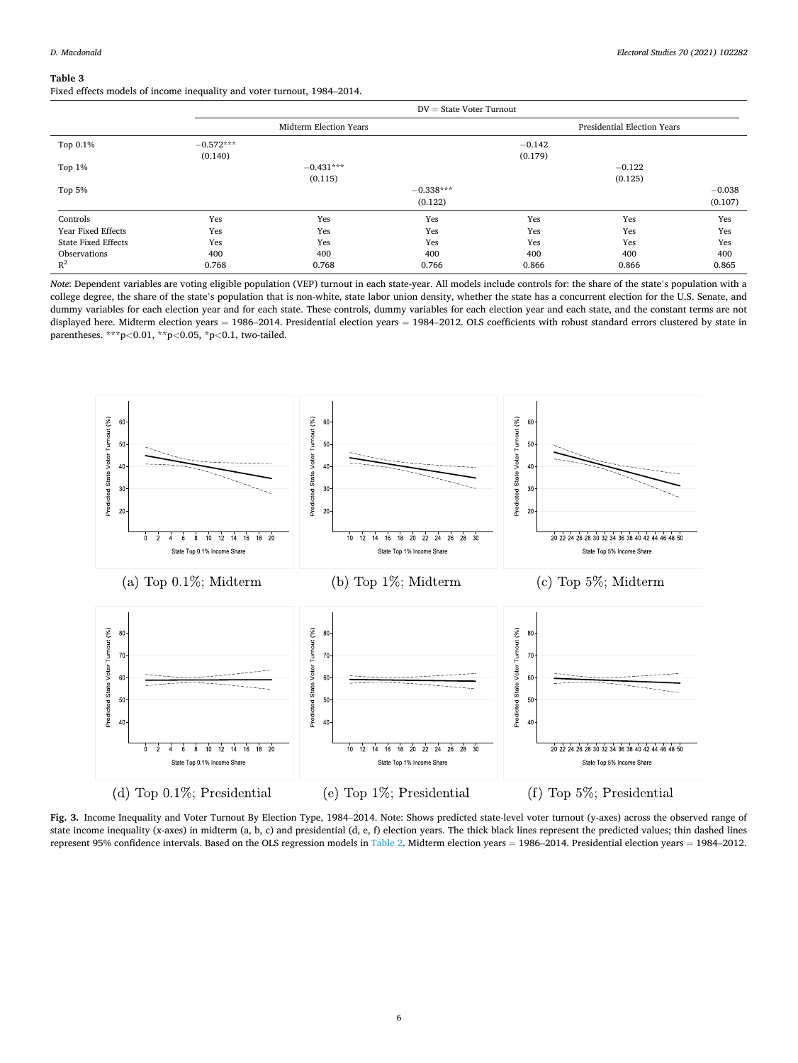## <span id="page-5-0"></span>**Table 3**

Fixed effects models of income inequality and voter turnout, 1984–2014.

|                            | $DV = State Voter Turnout$ |                        |                        |                     |                                    |                     |
|----------------------------|----------------------------|------------------------|------------------------|---------------------|------------------------------------|---------------------|
|                            |                            | Midterm Election Years |                        |                     | <b>Presidential Election Years</b> |                     |
| Top 0.1%                   | $-0.572***$<br>(0.140)     |                        |                        | $-0.142$<br>(0.179) |                                    |                     |
| Top $1\%$                  |                            | $-0.431***$<br>(0.115) |                        |                     | $-0.122$<br>(0.125)                |                     |
| Top 5%                     |                            |                        | $-0.338***$<br>(0.122) |                     |                                    | $-0.038$<br>(0.107) |
| Controls                   | Yes                        | Yes                    | Yes                    | Yes                 | Yes                                | Yes                 |
| <b>Year Fixed Effects</b>  | Yes                        | Yes                    | Yes                    | Yes                 | Yes                                | Yes                 |
| <b>State Fixed Effects</b> | Yes                        | Yes                    | Yes                    | Yes                 | Yes                                | Yes                 |
| Observations               | 400                        | 400                    | 400                    | 400                 | 400                                | 400                 |
| $R^2$                      | 0.768                      | 0.768                  | 0.766                  | 0.866               | 0.866                              | 0.865               |

*Note*: Dependent variables are voting eligible population (VEP) turnout in each state-year. All models include controls for: the share of the state's population with a college degree, the share of the state's population that is non-white, state labor union density, whether the state has a concurrent election for the U.S. Senate, and dummy variables for each election year and for each state. These controls, dummy variables for each election year and each state, and the constant terms are not displayed here. Midterm election years = 1986-2014. Presidential election years = 1984-2012. OLS coefficients with robust standard errors clustered by state in parentheses. \*\*\*p*<*0.01, \*\*p*<*0.05, \*p*<*0.1, two-tailed.



**Fig. 3.** Income Inequality and Voter Turnout By Election Type, 1984–2014. Note: Shows predicted state-level voter turnout (y-axes) across the observed range of state income inequality (x-axes) in midterm (a, b, c) and presidential (d, e, f) election years. The thick black lines represent the predicted values; thin dashed lines represent 95% confidence intervals. Based on the OLS regression models in [Table 2.](#page-4-0) Midterm election years =  $1986-2014$ . Presidential election years =  $1984-2012$ .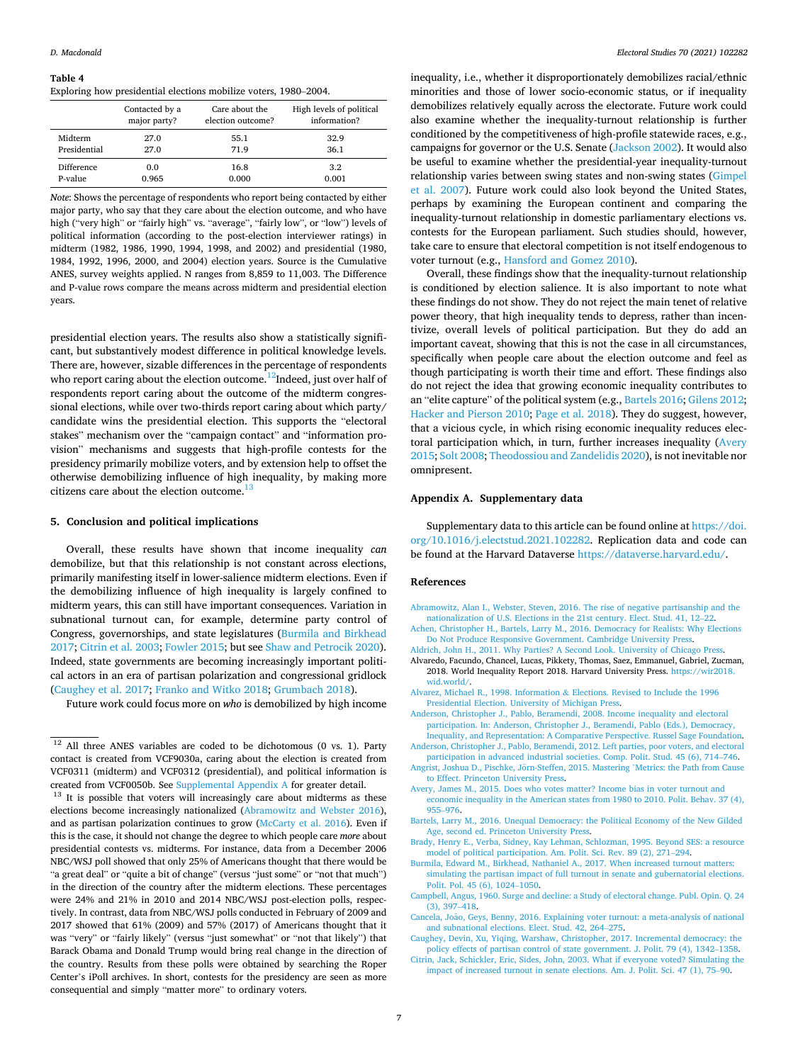#### <span id="page-6-0"></span>**Table 4**

Exploring how presidential elections mobilize voters, 1980–2004.

|              | Contacted by a | Care about the    | High levels of political |
|--------------|----------------|-------------------|--------------------------|
|              | major party?   | election outcome? | information?             |
| Midterm      | 27.0           | 55.1              | 32.9                     |
| Presidential | 27.0           | 71.9              | 36.1                     |
| Difference   | 0.0            | 16.8              | 3.2                      |
| P-value      | 0.965          | 0.000             | 0.001                    |

*Note*: Shows the percentage of respondents who report being contacted by either major party, who say that they care about the election outcome, and who have high ("very high" or "fairly high" vs. "average", "fairly low", or "low") levels of political information (according to the post-election interviewer ratings) in midterm (1982, 1986, 1990, 1994, 1998, and 2002) and presidential (1980, 1984, 1992, 1996, 2000, and 2004) election years. Source is the Cumulative ANES, survey weights applied. N ranges from 8,859 to 11,003. The Difference and P-value rows compare the means across midterm and presidential election years.

presidential election years. The results also show a statistically significant, but substantively modest difference in political knowledge levels. There are, however, sizable differences in the percentage of respondents who report caring about the election outcome.<sup>12</sup>Indeed, just over half of respondents report caring about the outcome of the midterm congressional elections, while over two-thirds report caring about which party/ candidate wins the presidential election. This supports the "electoral stakes" mechanism over the "campaign contact" and "information provision" mechanisms and suggests that high-profile contests for the presidency primarily mobilize voters, and by extension help to offset the otherwise demobilizing influence of high inequality, by making more citizens care about the election outcome. $13$ 

## **5. Conclusion and political implications**

Overall, these results have shown that income inequality *can*  demobilize, but that this relationship is not constant across elections, primarily manifesting itself in lower-salience midterm elections. Even if the demobilizing influence of high inequality is largely confined to midterm years, this can still have important consequences. Variation in subnational turnout can, for example, determine party control of Congress, governorships, and state legislatures (Burmila and Birkhead 2017; Citrin et al. 2003; [Fowler 2015;](#page-7-0) but see [Shaw and Petrocik 2020](#page-7-0)). Indeed, state governments are becoming increasingly important political actors in an era of partisan polarization and congressional gridlock (Caughey et al. 2017; [Franko and Witko 2018](#page-7-0); [Grumbach 2018\)](#page-7-0).

Future work could focus more on *who* is demobilized by high income

inequality, i.e., whether it disproportionately demobilizes racial/ethnic minorities and those of lower socio-economic status, or if inequality demobilizes relatively equally across the electorate. Future work could also examine whether the inequality-turnout relationship is further conditioned by the competitiveness of high-profile statewide races, e.g., campaigns for governor or the U.S. Senate ([Jackson 2002\)](#page-7-0). It would also be useful to examine whether the presidential-year inequality-turnout relationship varies between swing states and non-swing states [\(Gimpel](#page-7-0)  [et al. 2007\)](#page-7-0). Future work could also look beyond the United States, perhaps by examining the European continent and comparing the inequality-turnout relationship in domestic parliamentary elections vs. contests for the European parliament. Such studies should, however, take care to ensure that electoral competition is not itself endogenous to voter turnout (e.g., [Hansford and Gomez 2010\)](#page-7-0).

Overall, these findings show that the inequality-turnout relationship is conditioned by election salience. It is also important to note what these findings do not show. They do not reject the main tenet of relative power theory, that high inequality tends to depress, rather than incentivize, overall levels of political participation. But they do add an important caveat, showing that this is not the case in all circumstances, specifically when people care about the election outcome and feel as though participating is worth their time and effort. These findings also do not reject the idea that growing economic inequality contributes to an "elite capture" of the political system (e.g., Bartels 2016; [Gilens 2012](#page-7-0); [Hacker and Pierson 2010](#page-7-0); [Page et al. 2018\)](#page-7-0). They do suggest, however, that a vicious cycle, in which rising economic inequality reduces electoral participation which, in turn, further increases inequality (Avery 2015; [Solt 2008; Theodossiou and Zandelidis 2020\)](#page-7-0), is not inevitable nor omnipresent.

## **Appendix A. Supplementary data**

Supplementary data to this article can be found online at [https://doi.](https://doi.org/10.1016/j.electstud.2021.102282)  [org/10.1016/j.electstud.2021.102282.](https://doi.org/10.1016/j.electstud.2021.102282) Replication data and code can be found at the Harvard Dataverse [https://dataverse.harvard.edu/.](https://dataverse.harvard.edu/)

#### **References**

- [Abramowitz, Alan I., Webster, Steven, 2016. The rise of negative partisanship and the](http://refhub.elsevier.com/S0261-3794(21)00004-4/sref1)  [nationalization of U.S. Elections in the 21st century. Elect. Stud. 41, 12](http://refhub.elsevier.com/S0261-3794(21)00004-4/sref1)–22.
- [Achen, Christopher H., Bartels, Larry M., 2016. Democracy for Realists: Why Elections](http://refhub.elsevier.com/S0261-3794(21)00004-4/sref2)  [Do Not Produce Responsive Government. Cambridge University Press.](http://refhub.elsevier.com/S0261-3794(21)00004-4/sref2) [Aldrich, John H., 2011. Why Parties? A Second Look. University of Chicago Press.](http://refhub.elsevier.com/S0261-3794(21)00004-4/sref3)
- Alvaredo, Facundo, Chancel, Lucas, Pikkety, Thomas, Saez, Emmanuel, Gabriel, Zucman, 2018. World Inequality Report 2018. Harvard University Press. [https://wir2018.](https://wir2018.wid.world/)  [wid.world/](https://wir2018.wid.world/).
- [Alvarez, Michael R., 1998. Information](http://refhub.elsevier.com/S0261-3794(21)00004-4/sref5) & Elections. Revised to Include the 1996 [Presidential Election. University of Michigan Press.](http://refhub.elsevier.com/S0261-3794(21)00004-4/sref5)
- [Anderson, Christopher J., Pablo, Beramendi, 2008. Income inequality and electoral](http://refhub.elsevier.com/S0261-3794(21)00004-4/sref6)  [participation. In: Anderson, Christopher J., Beramendi, Pablo \(Eds.\), Democracy,](http://refhub.elsevier.com/S0261-3794(21)00004-4/sref6)  [Inequality, and Representation: A Comparative Perspective. Russel Sage Foundation.](http://refhub.elsevier.com/S0261-3794(21)00004-4/sref6)
- [Anderson, Christopher J., Pablo, Beramendi, 2012. Left parties, poor voters, and electoral](http://refhub.elsevier.com/S0261-3794(21)00004-4/sref7)  [participation in advanced industrial societies. Comp. Polit. Stud. 45 \(6\), 714](http://refhub.elsevier.com/S0261-3794(21)00004-4/sref7)–746.
- Angrist, Joshua D., Pischke, Jörn-Steffen, 2015. Mastering 'Metrics: the Path from Cause [to Effect. Princeton University Press](http://refhub.elsevier.com/S0261-3794(21)00004-4/sref8).
- [Avery, James M., 2015. Does who votes matter? Income bias in voter turnout and](http://refhub.elsevier.com/S0261-3794(21)00004-4/sref9) [economic inequality in the American states from 1980 to 2010. Polit. Behav. 37 \(4\),](http://refhub.elsevier.com/S0261-3794(21)00004-4/sref9)  955–[976](http://refhub.elsevier.com/S0261-3794(21)00004-4/sref9).
- [Bartels, Larry M., 2016. Unequal Democracy: the Political Economy of the New Gilded](http://refhub.elsevier.com/S0261-3794(21)00004-4/sref10) [Age, second ed. Princeton University Press](http://refhub.elsevier.com/S0261-3794(21)00004-4/sref10).
- [Brady, Henry E., Verba, Sidney, Kay Lehman, Schlozman, 1995. Beyond SES: a resource](http://refhub.elsevier.com/S0261-3794(21)00004-4/sref11)  [model of political participation. Am. Polit. Sci. Rev. 89 \(2\), 271](http://refhub.elsevier.com/S0261-3794(21)00004-4/sref11)–294.
- [Burmila, Edward M., Birkhead, Nathaniel A., 2017. When increased turnout matters:](http://refhub.elsevier.com/S0261-3794(21)00004-4/sref12)  [simulating the partisan impact of full turnout in senate and gubernatorial elections.](http://refhub.elsevier.com/S0261-3794(21)00004-4/sref12)  [Polit. Pol. 45 \(6\), 1024](http://refhub.elsevier.com/S0261-3794(21)00004-4/sref12)–1050.

- Cancela, João, Geys, Benny, 2016. Explaining voter turnout: a meta-analysis of national [and subnational elections. Elect. Stud. 42, 264](http://refhub.elsevier.com/S0261-3794(21)00004-4/sref14)–275.
- [Caughey, Devin, Xu, Yiqing, Warshaw, Christopher, 2017. Incremental democracy: the](http://refhub.elsevier.com/S0261-3794(21)00004-4/sref15)  [policy effects of partisan control of state government. J. Polit. 79 \(4\), 1342](http://refhub.elsevier.com/S0261-3794(21)00004-4/sref15)–1358.
- [Citrin, Jack, Schickler, Eric, Sides, John, 2003. What if everyone voted? Simulating the](http://refhub.elsevier.com/S0261-3794(21)00004-4/sref16)  [impact of increased turnout in senate elections. Am. J. Polit. Sci. 47 \(1\), 75](http://refhub.elsevier.com/S0261-3794(21)00004-4/sref16)–90.

<sup>&</sup>lt;sup>12</sup> All three ANES variables are coded to be dichotomous (0 vs. 1). Party contact is created from VCF9030a, caring about the election is created from VCF0311 (midterm) and VCF0312 (presidential), and political information is created from VCF0050b. See Supplemental Appendix A for greater detail.<br><sup>13</sup> It is possible that voters will increasingly care about midterms as these

elections become increasingly nationalized (Abramowitz and Webster 2016), and as partisan polarization continues to grow ([McCarty et al. 2016\)](#page-7-0). Even if this is the case, it should not change the degree to which people care *more* about presidential contests vs. midterms. For instance, data from a December 2006 NBC/WSJ poll showed that only 25% of Americans thought that there would be "a great deal" or "quite a bit of change" (versus "just some" or "not that much") in the direction of the country after the midterm elections. These percentages were 24% and 21% in 2010 and 2014 NBC/WSJ post-election polls, respectively. In contrast, data from NBC/WSJ polls conducted in February of 2009 and 2017 showed that 61% (2009) and 57% (2017) of Americans thought that it was "very" or "fairly likely" (versus "just somewhat" or "not that likely") that Barack Obama and Donald Trump would bring real change in the direction of the country. Results from these polls were obtained by searching the Roper Center's iPoll archives. In short, contests for the presidency are seen as more consequential and simply "matter more" to ordinary voters.

[Campbell, Angus, 1960. Surge and decline: a Study of electoral change. Publ. Opin. Q. 24](http://refhub.elsevier.com/S0261-3794(21)00004-4/sref13)  [\(3\), 397](http://refhub.elsevier.com/S0261-3794(21)00004-4/sref13)–418.